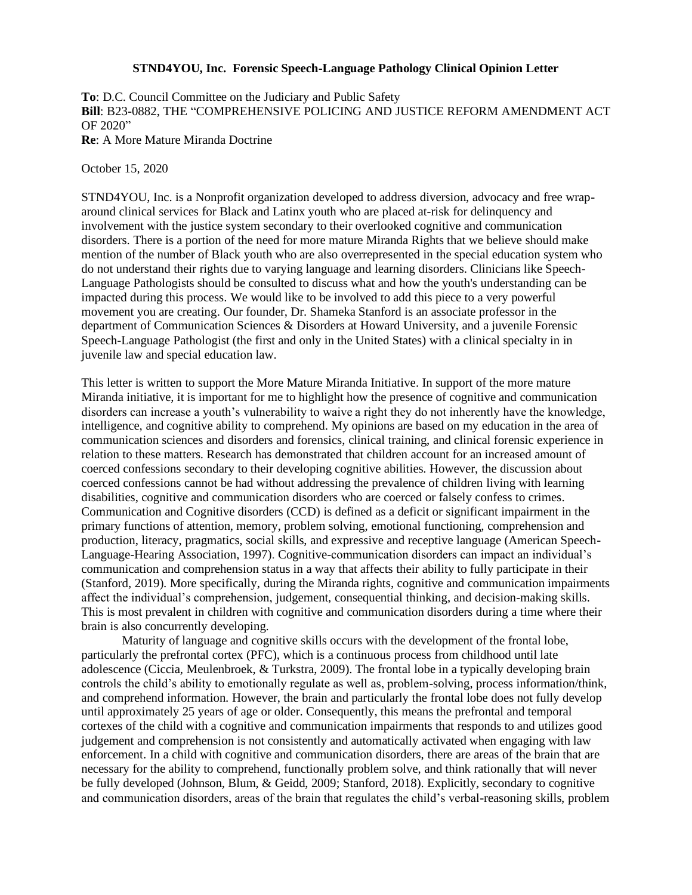## **STND4YOU, Inc. Forensic Speech-Language Pathology Clinical Opinion Letter**

**To**: D.C. Council Committee on the Judiciary and Public Safety **Bill**: B23-0882, THE "COMPREHENSIVE POLICING AND JUSTICE REFORM AMENDMENT ACT OF 2020" **Re**: A More Mature Miranda Doctrine

October 15, 2020

STND4YOU, Inc. is a Nonprofit organization developed to address diversion, advocacy and free wraparound clinical services for Black and Latinx youth who are placed at-risk for delinquency and involvement with the justice system secondary to their overlooked cognitive and communication disorders. There is a portion of the need for more mature Miranda Rights that we believe should make mention of the number of Black youth who are also overrepresented in the special education system who do not understand their rights due to varying language and learning disorders. Clinicians like Speech-Language Pathologists should be consulted to discuss what and how the youth's understanding can be impacted during this process. We would like to be involved to add this piece to a very powerful movement you are creating. Our founder, Dr. Shameka Stanford is an associate professor in the department of Communication Sciences & Disorders at Howard University, and a juvenile Forensic Speech-Language Pathologist (the first and only in the United States) with a clinical specialty in in juvenile law and special education law.

This letter is written to support the More Mature Miranda Initiative. In support of the more mature Miranda initiative, it is important for me to highlight how the presence of cognitive and communication disorders can increase a youth's vulnerability to waive a right they do not inherently have the knowledge, intelligence, and cognitive ability to comprehend. My opinions are based on my education in the area of communication sciences and disorders and forensics, clinical training, and clinical forensic experience in relation to these matters. Research has demonstrated that children account for an increased amount of coerced confessions secondary to their developing cognitive abilities. However, the discussion about coerced confessions cannot be had without addressing the prevalence of children living with learning disabilities, cognitive and communication disorders who are coerced or falsely confess to crimes. Communication and Cognitive disorders (CCD) is defined as a deficit or significant impairment in the primary functions of attention, memory, problem solving, emotional functioning, comprehension and production, literacy, pragmatics, social skills, and expressive and receptive language (American Speech-Language-Hearing Association, 1997). Cognitive-communication disorders can impact an individual's communication and comprehension status in a way that affects their ability to fully participate in their (Stanford, 2019). More specifically, during the Miranda rights, cognitive and communication impairments affect the individual's comprehension, judgement, consequential thinking, and decision-making skills. This is most prevalent in children with cognitive and communication disorders during a time where their brain is also concurrently developing.

Maturity of language and cognitive skills occurs with the development of the frontal lobe, particularly the prefrontal cortex (PFC), which is a continuous process from childhood until late adolescence (Ciccia, Meulenbroek, & Turkstra, 2009). The frontal lobe in a typically developing brain controls the child's ability to emotionally regulate as well as, problem-solving, process information/think, and comprehend information. However, the brain and particularly the frontal lobe does not fully develop until approximately 25 years of age or older. Consequently, this means the prefrontal and temporal cortexes of the child with a cognitive and communication impairments that responds to and utilizes good judgement and comprehension is not consistently and automatically activated when engaging with law enforcement. In a child with cognitive and communication disorders, there are areas of the brain that are necessary for the ability to comprehend, functionally problem solve, and think rationally that will never be fully developed (Johnson, Blum, & Geidd, 2009; Stanford, 2018). Explicitly, secondary to cognitive and communication disorders, areas of the brain that regulates the child's verbal-reasoning skills, problem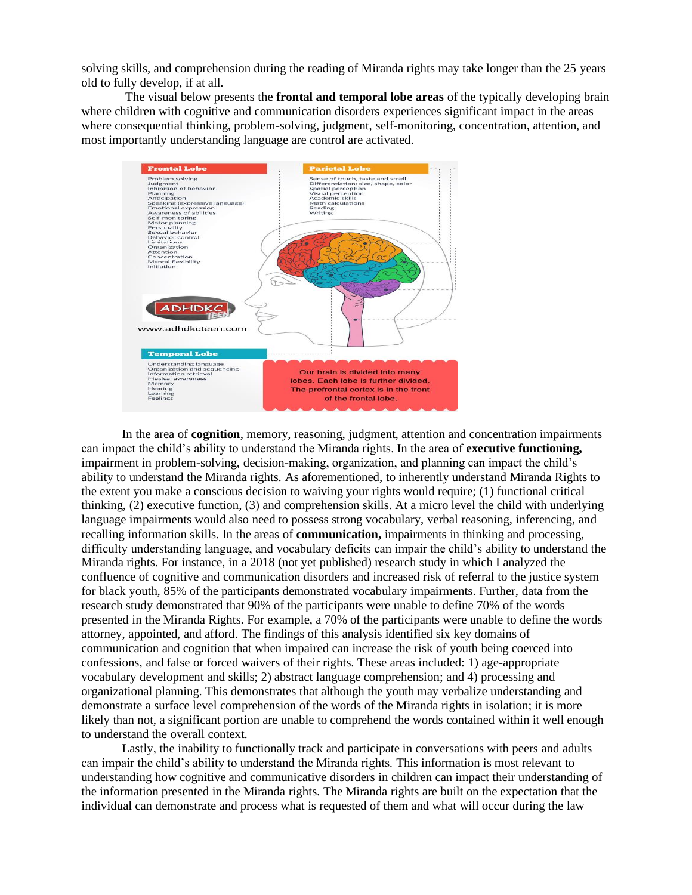solving skills, and comprehension during the reading of Miranda rights may take longer than the 25 years old to fully develop, if at all.

The visual below presents the **frontal and temporal lobe areas** of the typically developing brain where children with cognitive and communication disorders experiences significant impact in the areas where consequential thinking, problem-solving, judgment, self-monitoring, concentration, attention, and most importantly understanding language are control are activated.



In the area of **cognition**, memory, reasoning, judgment, attention and concentration impairments can impact the child's ability to understand the Miranda rights. In the area of **executive functioning,**  impairment in problem-solving, decision-making, organization, and planning can impact the child's ability to understand the Miranda rights. As aforementioned, to inherently understand Miranda Rights to the extent you make a conscious decision to waiving your rights would require; (1) functional critical thinking, (2) executive function, (3) and comprehension skills. At a micro level the child with underlying language impairments would also need to possess strong vocabulary, verbal reasoning, inferencing, and recalling information skills. In the areas of **communication,** impairments in thinking and processing, difficulty understanding language, and vocabulary deficits can impair the child's ability to understand the Miranda rights. For instance, in a 2018 (not yet published) research study in which I analyzed the confluence of cognitive and communication disorders and increased risk of referral to the justice system for black youth, 85% of the participants demonstrated vocabulary impairments. Further, data from the research study demonstrated that 90% of the participants were unable to define 70% of the words presented in the Miranda Rights. For example, a 70% of the participants were unable to define the words attorney, appointed, and afford. The findings of this analysis identified six key domains of communication and cognition that when impaired can increase the risk of youth being coerced into confessions, and false or forced waivers of their rights. These areas included: 1) age-appropriate vocabulary development and skills; 2) abstract language comprehension; and 4) processing and organizational planning. This demonstrates that although the youth may verbalize understanding and demonstrate a surface level comprehension of the words of the Miranda rights in isolation; it is more likely than not, a significant portion are unable to comprehend the words contained within it well enough to understand the overall context.

Lastly, the inability to functionally track and participate in conversations with peers and adults can impair the child's ability to understand the Miranda rights. This information is most relevant to understanding how cognitive and communicative disorders in children can impact their understanding of the information presented in the Miranda rights. The Miranda rights are built on the expectation that the individual can demonstrate and process what is requested of them and what will occur during the law